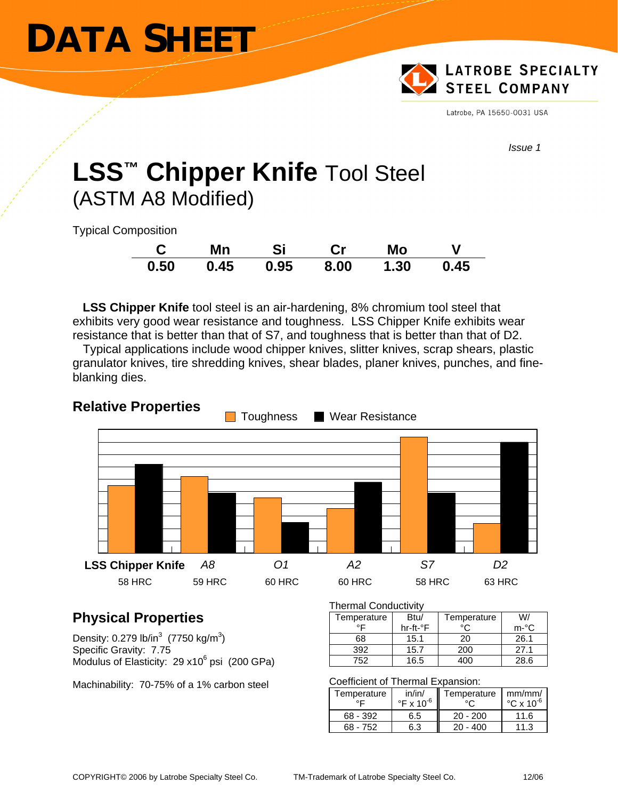# **DATA SHEET**



Latrobe, PA 15650-0031 USA

*Issue 1* 

# **LSS™ Chipper Knife** Tool Steel (ASTM A8 Modified)

Typical Composition

|      | Mn                   | <b>Si</b> | $\mathbf{C}$ r | Mo   |      |
|------|----------------------|-----------|----------------|------|------|
| 0.50 | $0.45$ $0.95$ $8.00$ |           |                | 1.30 | 0.45 |

 **LSS Chipper Knife** tool steel is an air-hardening, 8% chromium tool steel that exhibits very good wear resistance and toughness. LSS Chipper Knife exhibits wear resistance that is better than that of S7, and toughness that is better than that of D2.

 Typical applications include wood chipper knives, slitter knives, scrap shears, plastic granulator knives, tire shredding knives, shear blades, planer knives, punches, and fineblanking dies.



# **Relative Properties**

# **Physical Properties**

Density: 0.279 lb/in $3(7750 \text{ kg/m}^3)$ Specific Gravity: 7.75 Modulus of Elasticity: 29 x10 $<sup>6</sup>$  psi (200 GPa)</sup>

Machinability: 70-75% of a 1% carbon steel

#### Thermal Conductivity

| Temperature | Btu/     | Temperature | W/      |
|-------------|----------|-------------|---------|
| ᅂ           | hr-ft-°F |             | $m - C$ |
| 68          | 15.1     | 20          | 26.1    |
| 392         | 15.7     | 200         | 27.1    |
| 752         | 16.5     |             | 28.6    |

#### Coefficient of Thermal Expansion:

| Temperature | in/in/<br>$\degree$ F x 10 $\degree$ | Temperature  | mm/mm/<br>$\degree$ C x 10 $\degree$ |
|-------------|--------------------------------------|--------------|--------------------------------------|
| 68 - 392    | 6.5                                  | $20 - 200$   | 11.6                                 |
| $68 - 752$  | 6.3                                  | - 400<br>20. | 11.3                                 |